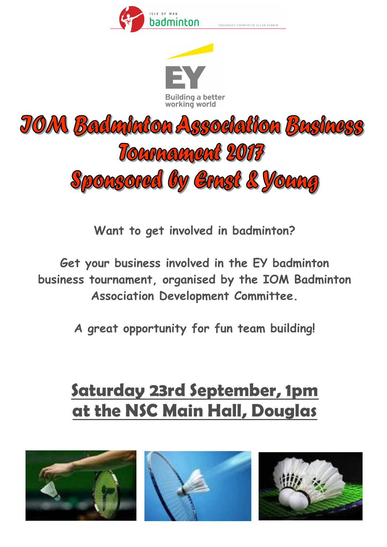

.<br>HESHACHT VADMYNTYN EILAN VANNI





**Want to get involved in badminton?**

**Get your business involved in the EY badminton business tournament, organised by the IOM Badminton Association Development Committee.**

**A great opportunity for fun team building!**

## **Saturday 23rd September, 1pm at the NSC Main Hall, Douglas**





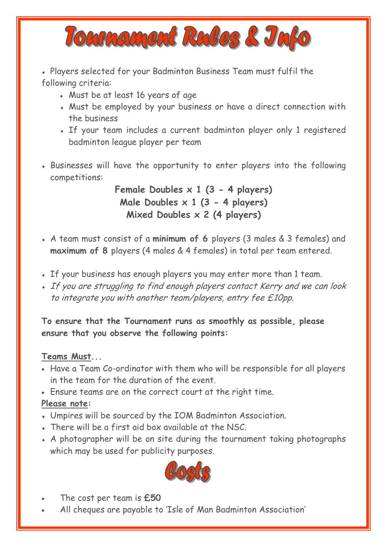

 Players selected for your Badminton Business Team must fulfil the following criteria:

- Must be at least 16 years of age
- Must be employed by your business or have a direct connection with the business
- If your team includes a current badminton player only 1 registered badminton league player per team
- Businesses will have the opportunity to enter players into the following competitions:

**Female Doubles x 1 (3 - 4 players) Male Doubles x 1 (3 - 4 players) Mixed Doubles x 2 (4 players)**

- A team must consist of a **minimum of 6** players (3 males & 3 females) and **maximum of 8** players (4 males & 4 females) in total per team entered.
- If your business has enough players you may enter more than 1 team.
- If you are struggling to find enough players contact Kerry and we can look to integrate you with another team/players, entry fee £10pp.

**To ensure that the Tournament runs as smoothly as possible, please ensure that you observe the following points:**

## **Teams Must...**

- Have a Team Co-ordinator with them who will be responsible for all players in the team for the duration of the event.
- Ensure teams are on the correct court at the right time.

## **Please note:**

- Umpires will be sourced by the IOM Badminton Association.
- There will be a first aid box available at the NSC.
- A photographer will be on site during the tournament taking photographs which may be used for publicity purposes.



- The cost per team is **£50**
- All cheques are payable to 'Isle of Man Badminton Association'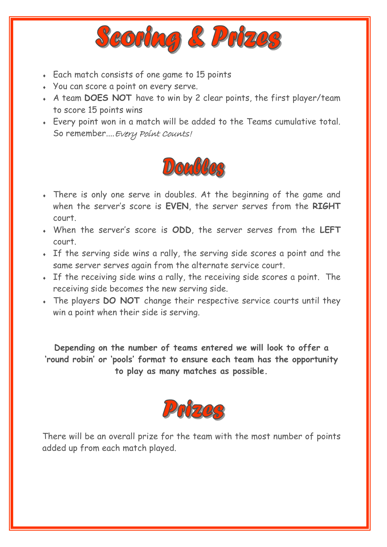

- Each match consists of one game to 15 points
- You can score a point on every serve.
- A team **DOES NOT** have to win by 2 clear points, the first player/team to score 15 points wins
- Every point won in a match will be added to the Teams cumulative total. So remember....Every Point Counts!



- There is only one serve in doubles. At the beginning of the game and when the server's score is **EVEN**, the server serves from the **RIGHT** court.
- When the server's score is **ODD**, the server serves from the **LEFT** court.
- If the serving side wins a rally, the serving side scores a point and the same server serves again from the alternate service court.
- If the receiving side wins a rally, the receiving side scores a point. The receiving side becomes the new serving side.
- The players **DO NOT** change their respective service courts until they win a point when their side is serving.

**Depending on the number of teams entered we will look to offer a 'round robin' or 'pools' format to ensure each team has the opportunity to play as many matches as possible.**



There will be an overall prize for the team with the most number of points added up from each match played.